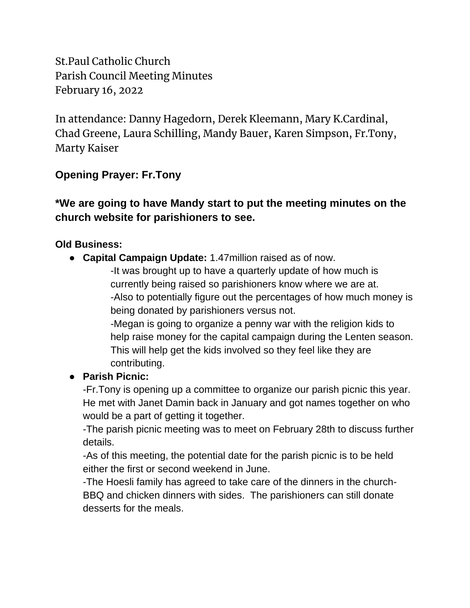St.Paul Catholic Church Parish Council Meeting Minutes February 16, 2022

In attendance: Danny Hagedorn, Derek Kleemann, Mary K.Cardinal, Chad Greene, Laura Schilling, Mandy Bauer, Karen Simpson, Fr.Tony, Marty Kaiser

# **Opening Prayer: Fr.Tony**

# **\*We are going to have Mandy start to put the meeting minutes on the church website for parishioners to see.**

### **Old Business:**

● **Capital Campaign Update:** 1.47million raised as of now.

-It was brought up to have a quarterly update of how much is currently being raised so parishioners know where we are at. -Also to potentially figure out the percentages of how much money is being donated by parishioners versus not.

-Megan is going to organize a penny war with the religion kids to help raise money for the capital campaign during the Lenten season. This will help get the kids involved so they feel like they are contributing.

### ● **Parish Picnic:**

-Fr.Tony is opening up a committee to organize our parish picnic this year. He met with Janet Damin back in January and got names together on who would be a part of getting it together.

-The parish picnic meeting was to meet on February 28th to discuss further details.

-As of this meeting, the potential date for the parish picnic is to be held either the first or second weekend in June.

-The Hoesli family has agreed to take care of the dinners in the church-BBQ and chicken dinners with sides. The parishioners can still donate desserts for the meals.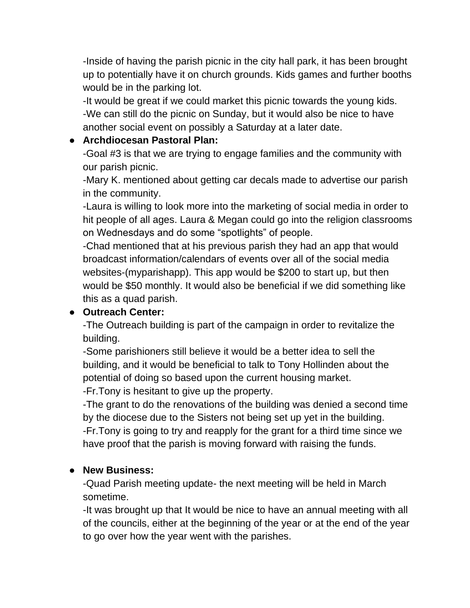-Inside of having the parish picnic in the city hall park, it has been brought up to potentially have it on church grounds. Kids games and further booths would be in the parking lot.

-It would be great if we could market this picnic towards the young kids. -We can still do the picnic on Sunday, but it would also be nice to have another social event on possibly a Saturday at a later date.

### ● **Archdiocesan Pastoral Plan:**

-Goal #3 is that we are trying to engage families and the community with our parish picnic.

-Mary K. mentioned about getting car decals made to advertise our parish in the community.

-Laura is willing to look more into the marketing of social media in order to hit people of all ages. Laura & Megan could go into the religion classrooms on Wednesdays and do some "spotlights" of people.

-Chad mentioned that at his previous parish they had an app that would broadcast information/calendars of events over all of the social media websites-(myparishapp). This app would be \$200 to start up, but then would be \$50 monthly. It would also be beneficial if we did something like this as a quad parish.

### ● **Outreach Center:**

-The Outreach building is part of the campaign in order to revitalize the building.

-Some parishioners still believe it would be a better idea to sell the building, and it would be beneficial to talk to Tony Hollinden about the potential of doing so based upon the current housing market. -Fr.Tony is hesitant to give up the property.

-The grant to do the renovations of the building was denied a second time by the diocese due to the Sisters not being set up yet in the building. -Fr.Tony is going to try and reapply for the grant for a third time since we have proof that the parish is moving forward with raising the funds.

### ● **New Business:**

-Quad Parish meeting update- the next meeting will be held in March sometime.

-It was brought up that It would be nice to have an annual meeting with all of the councils, either at the beginning of the year or at the end of the year to go over how the year went with the parishes.